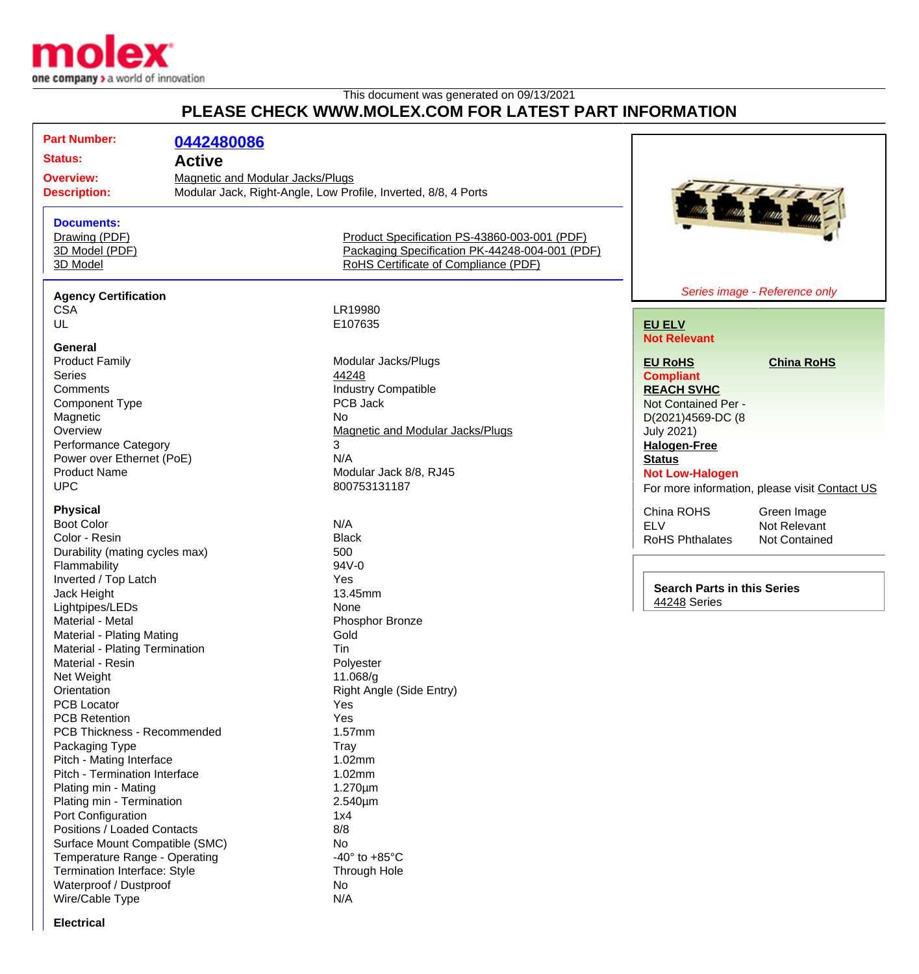

## This document was generated on 09/13/2021 **PLEASE CHECK WWW.MOLEX.COM FOR LATEST PART INFORMATION**

| <b>Part Number:</b>              | 0442480086                              |                                                                |                                    |                                                                                                                      |
|----------------------------------|-----------------------------------------|----------------------------------------------------------------|------------------------------------|----------------------------------------------------------------------------------------------------------------------|
|                                  |                                         |                                                                |                                    |                                                                                                                      |
| <b>Status:</b>                   | <b>Active</b>                           |                                                                |                                    |                                                                                                                      |
| <b>Overview:</b>                 | <b>Magnetic and Modular Jacks/Plugs</b> |                                                                |                                    |                                                                                                                      |
| <b>Description:</b>              |                                         | Modular Jack, Right-Angle, Low Profile, Inverted, 8/8, 4 Ports |                                    |                                                                                                                      |
|                                  |                                         |                                                                |                                    | <b>The Contract of South Street, South Street, South Street, South Street, South Street, South Street, Street, S</b> |
| <b>Documents:</b>                |                                         |                                                                |                                    |                                                                                                                      |
| Drawing (PDF)                    |                                         | Product Specification PS-43860-003-001 (PDF)                   |                                    |                                                                                                                      |
| 3D Model (PDF)                   |                                         | Packaging Specification PK-44248-004-001 (PDF)                 |                                    |                                                                                                                      |
| 3D Model                         |                                         | RoHS Certificate of Compliance (PDF)                           |                                    |                                                                                                                      |
|                                  |                                         |                                                                |                                    |                                                                                                                      |
| <b>Agency Certification</b>      |                                         |                                                                |                                    | Series image - Reference only                                                                                        |
| <b>CSA</b>                       |                                         | LR19980                                                        |                                    |                                                                                                                      |
| UL                               |                                         | E107635                                                        | <b>EU ELV</b>                      |                                                                                                                      |
|                                  |                                         |                                                                | <b>Not Relevant</b>                |                                                                                                                      |
| General<br><b>Product Family</b> |                                         | Modular Jacks/Plugs                                            |                                    |                                                                                                                      |
| <b>Series</b>                    |                                         | 44248                                                          | <b>EU RoHS</b>                     | <b>China RoHS</b>                                                                                                    |
| Comments                         |                                         |                                                                | <b>Compliant</b>                   |                                                                                                                      |
|                                  |                                         | <b>Industry Compatible</b>                                     | <b>REACH SVHC</b>                  |                                                                                                                      |
| Component Type                   |                                         | PCB Jack                                                       | Not Contained Per -                |                                                                                                                      |
| Magnetic                         |                                         | <b>No</b>                                                      | D(2021)4569-DC (8                  |                                                                                                                      |
| Overview                         |                                         | <b>Magnetic and Modular Jacks/Plugs</b>                        | <b>July 2021)</b>                  |                                                                                                                      |
| <b>Performance Category</b>      |                                         | 3                                                              | <b>Halogen-Free</b>                |                                                                                                                      |
| Power over Ethernet (PoE)        |                                         | N/A                                                            | <b>Status</b>                      |                                                                                                                      |
| <b>Product Name</b>              |                                         | Modular Jack 8/8, RJ45                                         | <b>Not Low-Halogen</b>             |                                                                                                                      |
| <b>UPC</b>                       |                                         | 800753131187                                                   |                                    | For more information, please visit Contact US                                                                        |
| <b>Physical</b>                  |                                         |                                                                | China ROHS                         | Green Image                                                                                                          |
| <b>Boot Color</b>                |                                         | N/A                                                            | <b>ELV</b>                         | Not Relevant                                                                                                         |
| Color - Resin                    |                                         | <b>Black</b>                                                   | <b>RoHS Phthalates</b>             | Not Contained                                                                                                        |
| Durability (mating cycles max)   |                                         | 500                                                            |                                    |                                                                                                                      |
| Flammability                     |                                         | 94V-0                                                          |                                    |                                                                                                                      |
| Inverted / Top Latch             |                                         | Yes                                                            |                                    |                                                                                                                      |
| Jack Height                      |                                         | 13.45mm                                                        | <b>Search Parts in this Series</b> |                                                                                                                      |
| Lightpipes/LEDs                  |                                         | None                                                           | 44248 Series                       |                                                                                                                      |
| Material - Metal                 |                                         | Phosphor Bronze                                                |                                    |                                                                                                                      |
| Material - Plating Mating        |                                         | Gold                                                           |                                    |                                                                                                                      |
| Material - Plating Termination   |                                         | Tin                                                            |                                    |                                                                                                                      |
| Material - Resin                 |                                         | Polyester                                                      |                                    |                                                                                                                      |
| Net Weight                       |                                         | 11.068/g                                                       |                                    |                                                                                                                      |
| Orientation                      |                                         | Right Angle (Side Entry)                                       |                                    |                                                                                                                      |
| <b>PCB Locator</b>               |                                         | Yes                                                            |                                    |                                                                                                                      |
| <b>PCB Retention</b>             |                                         | Yes                                                            |                                    |                                                                                                                      |
| PCB Thickness - Recommended      |                                         | 1.57mm                                                         |                                    |                                                                                                                      |
| Packaging Type                   |                                         | Tray                                                           |                                    |                                                                                                                      |
| Pitch - Mating Interface         |                                         | 1.02mm                                                         |                                    |                                                                                                                      |
| Pitch - Termination Interface    |                                         | 1.02mm                                                         |                                    |                                                                                                                      |
| Plating min - Mating             |                                         | $1.270 \mu m$                                                  |                                    |                                                                                                                      |
| Plating min - Termination        |                                         | 2.540µm                                                        |                                    |                                                                                                                      |
| Port Configuration               |                                         | 1x4                                                            |                                    |                                                                                                                      |
| Positions / Loaded Contacts      |                                         | 8/8                                                            |                                    |                                                                                                                      |
| Surface Mount Compatible (SMC)   |                                         | No                                                             |                                    |                                                                                                                      |
| Temperature Range - Operating    |                                         | -40 $\degree$ to +85 $\degree$ C                               |                                    |                                                                                                                      |
| Termination Interface: Style     |                                         |                                                                |                                    |                                                                                                                      |
| Waterproof / Dustproof           |                                         | Through Hole<br>No                                             |                                    |                                                                                                                      |
|                                  |                                         | N/A                                                            |                                    |                                                                                                                      |
| Wire/Cable Type                  |                                         |                                                                |                                    |                                                                                                                      |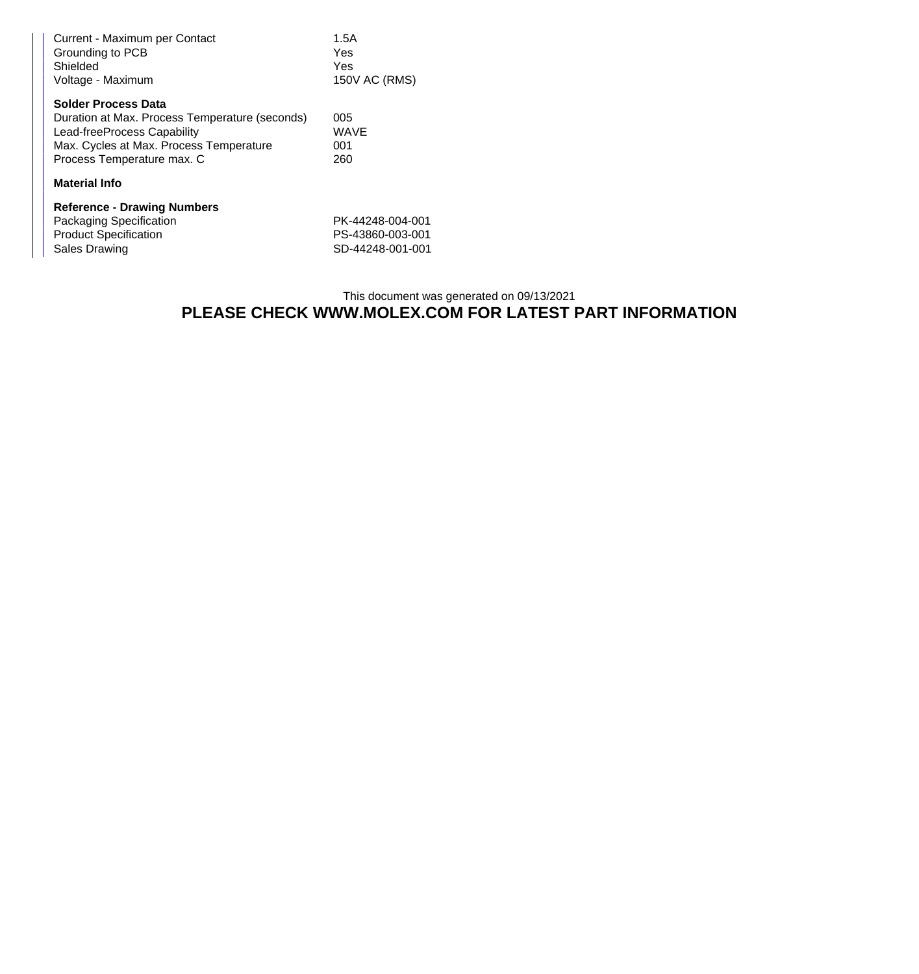| Current - Maximum per Contact<br>Grounding to PCB<br>Shielded<br>Voltage - Maximum | 1.5A<br>Yes<br>Yes<br>150V AC (RMS) |  |  |  |  |
|------------------------------------------------------------------------------------|-------------------------------------|--|--|--|--|
|                                                                                    |                                     |  |  |  |  |
| <b>Solder Process Data</b>                                                         |                                     |  |  |  |  |
| Duration at Max. Process Temperature (seconds)                                     | 005                                 |  |  |  |  |
| Lead-freeProcess Capability                                                        | WAVE                                |  |  |  |  |
| Max. Cycles at Max. Process Temperature                                            | 001                                 |  |  |  |  |
| Process Temperature max. C                                                         | 260                                 |  |  |  |  |
| <b>Material Info</b>                                                               |                                     |  |  |  |  |
| <b>Reference - Drawing Numbers</b>                                                 |                                     |  |  |  |  |
| Packaging Specification                                                            | PK-44248-004-001                    |  |  |  |  |
| <b>Product Specification</b>                                                       | PS-43860-003-001                    |  |  |  |  |
| Sales Drawing                                                                      | SD-44248-001-001                    |  |  |  |  |

## This document was generated on 09/13/2021 **PLEASE CHECK WWW.MOLEX.COM FOR LATEST PART INFORMATION**